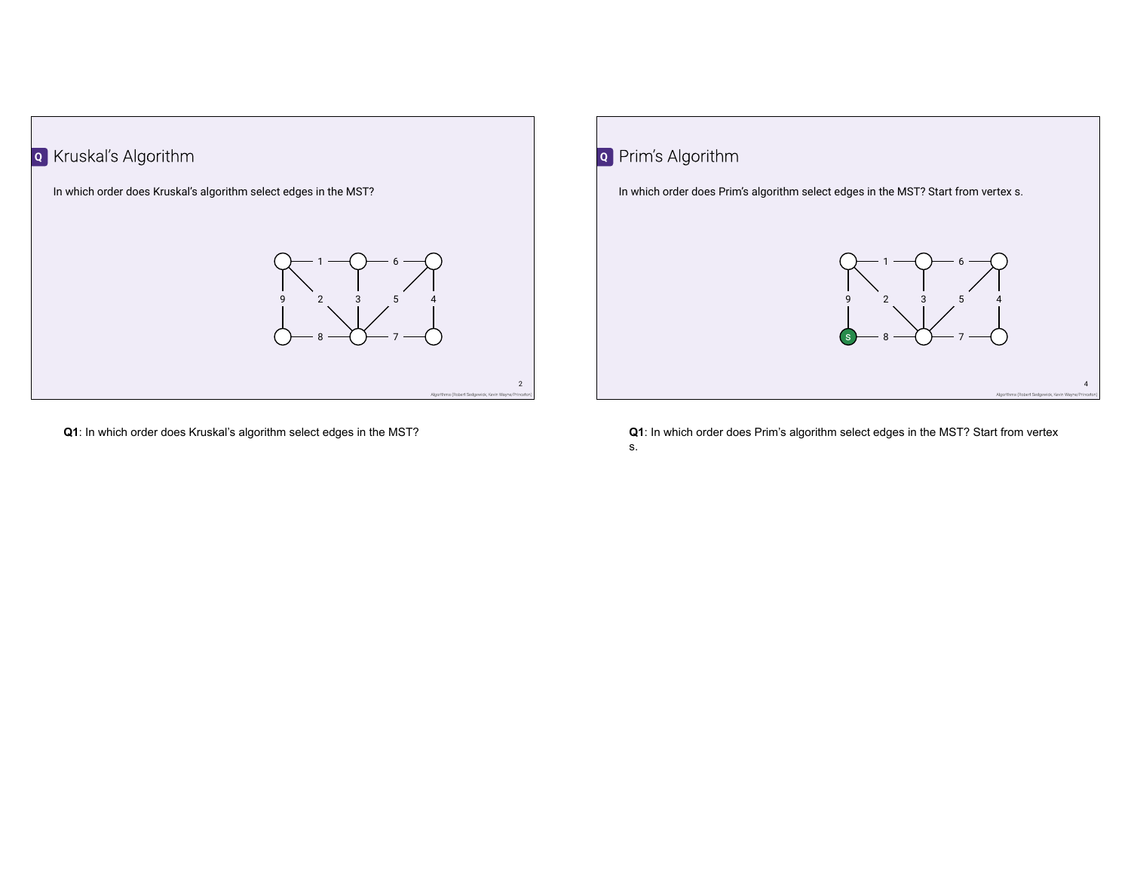

**Q1**: In which order does Kruskal's algorithm select edges in the MST?



**Q1**: In which order does Prim's algorithm select edges in the MST? Start from vertex s.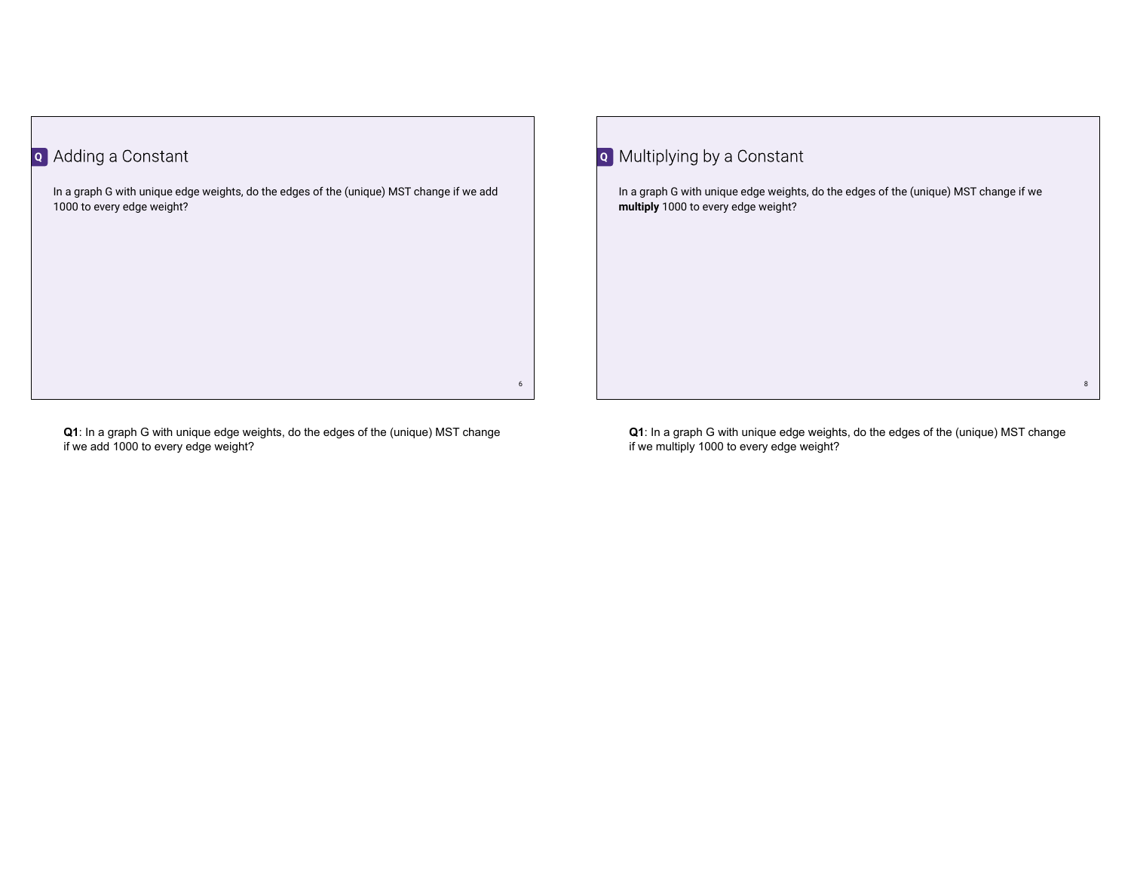## **Q** Adding a Constant

In a graph G with unique edge weights, do the edges of the (unique) MST change if we add 1000 to every edge weight?

**Q1**: In a graph G with unique edge weights, do the edges of the (unique) MST change if we add 1000 to every edge weight?

**Q** Multiplying by a Constant

6

In a graph G with unique edge weights, do the edges of the (unique) MST change if we **multiply** 1000 to every edge weight?

**Q1**: In a graph G with unique edge weights, do the edges of the (unique) MST change if we multiply 1000 to every edge weight?

8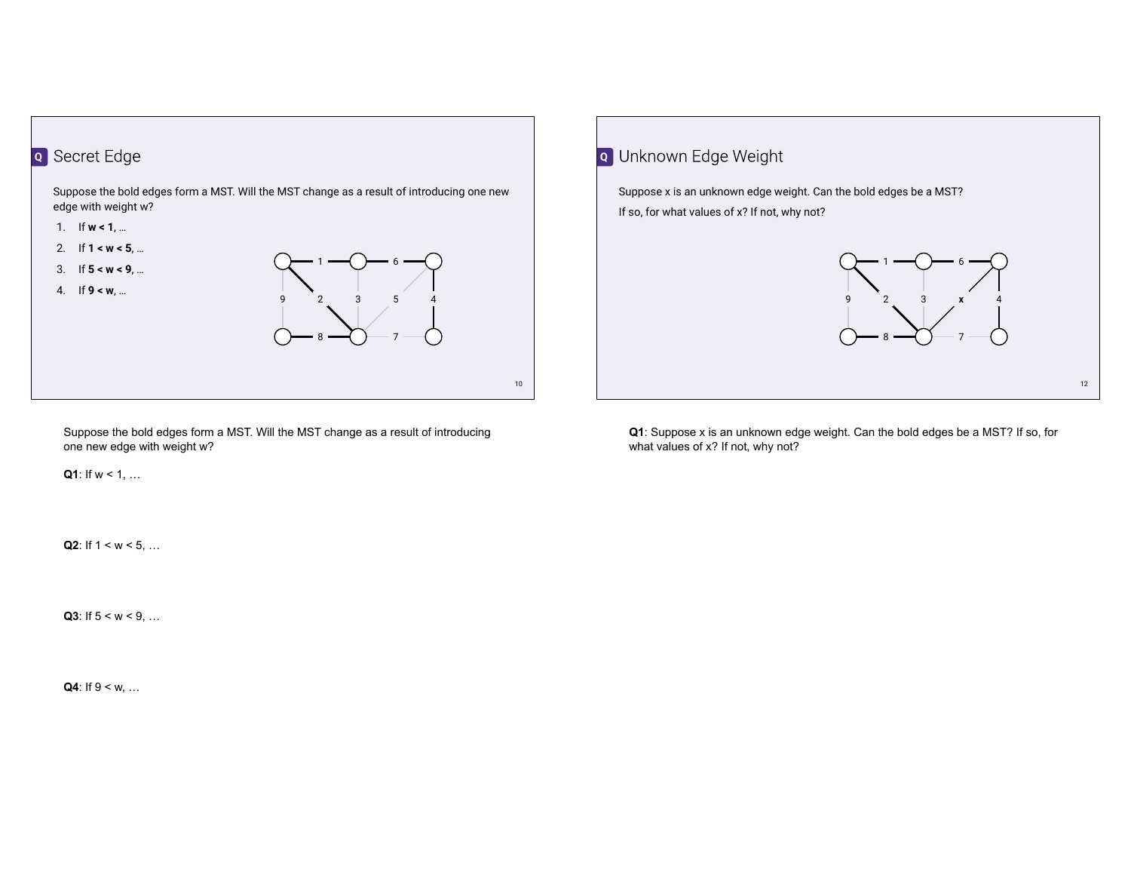

Suppose the bold edges form a MST. Will the MST change as a result of introducing one new edge with weight w?

**Q1**: If  $w < 1$ , ...

**Q2**: If  $1 \leq w \leq 5, ...$ 

**Q3**: If  $5 < w < 9$ , ...

**Q4**: If  $9 \leq w, ...$ 



**Q1**: Suppose x is an unknown edge weight. Can the bold edges be a MST? If so, for what values of x? If not, why not?